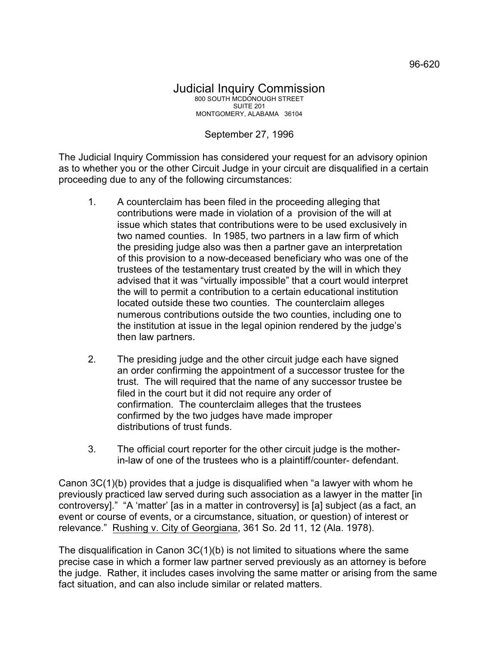## September 27, 1996

The Judicial Inquiry Commission has considered your request for an advisory opinion as to whether you or the other Circuit Judge in your circuit are disqualified in a certain proceeding due to any of the following circumstances:

- 1. A counterclaim has been filed in the proceeding alleging that contributions were made in violation of a provision of the will at issue which states that contributions were to be used exclusively in two named counties. In 1985, two partners in a law firm of which the presiding judge also was then a partner gave an interpretation of this provision to a now-deceased beneficiary who was one of the trustees of the testamentary trust created by the will in which they advised that it was "virtually impossible" that a court would interpret the will to permit a contribution to a certain educational institution located outside these two counties. The counterclaim alleges numerous contributions outside the two counties, including one to the institution at issue in the legal opinion rendered by the judge's then law partners.
- 2. The presiding judge and the other circuit judge each have signed an order confirming the appointment of a successor trustee for the trust. The will required that the name of any successor trustee be filed in the court but it did not require any order of confirmation. The counterclaim alleges that the trustees confirmed by the two judges have made improper distributions of trust funds.
- 3. The official court reporter for the other circuit judge is the motherin-law of one of the trustees who is a plaintiff/counter- defendant.

Canon 3C(1)(b) provides that a judge is disqualified when "a lawyer with whom he previously practiced law served during such association as a lawyer in the matter [in controversy]." "A 'matter' [as in a matter in controversy] is [a] subject (as a fact, an event or course of events, or a circumstance, situation, or question) of interest or relevance." Rushing v. City of Georgiana, 361 So. 2d 11, 12 (Ala. 1978).

The disqualification in Canon 3C(1)(b) is not limited to situations where the same precise case in which a former law partner served previously as an attorney is before the judge. Rather, it includes cases involving the same matter or arising from the same fact situation, and can also include similar or related matters.